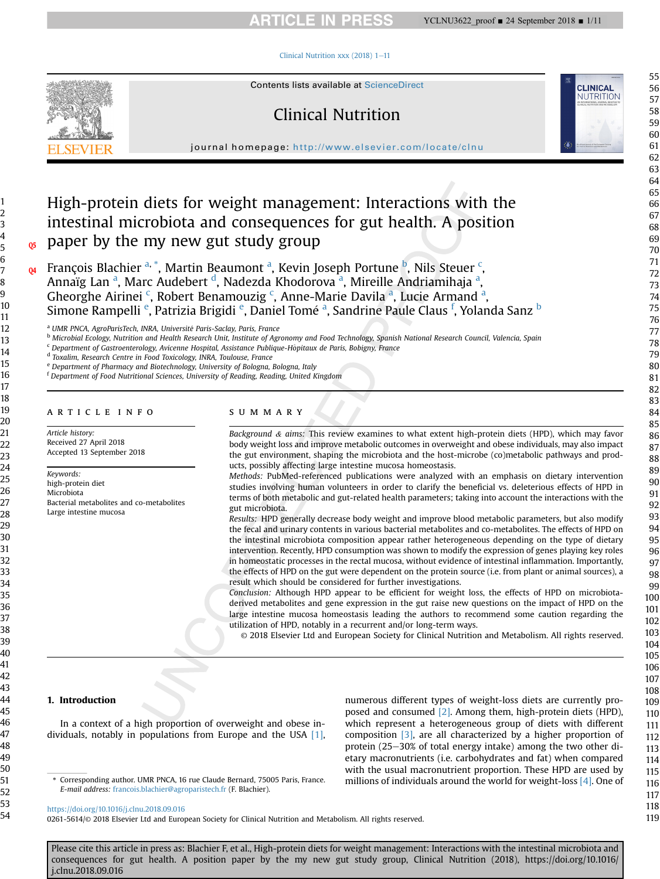#### **ARTICLE IN PRESS** YCLNU3622\_proof ■ 24 September 2018 ■ 1/11

#### Clinical Nutrition xxx  $(2018)$  1-[11](https://doi.org/10.1016/j.clnu.2018.09.016)



Contents lists available at ScienceDirect

## Clinical Nutrition



journal homepage: <http://www.elsevier.com/locate/clnu>

# High-protein diets for weight management: Interactions with the intestinal microbiota and consequences for gut health. A position paper by the my new gut study group

<sub>04</sub> François Blachier <sup>a, \*</sup>, Martin Beaumont <sup>a</sup>, Kevin Joseph Portune <sup>b</sup>, Nils Steuer <sup>c</sup>, Annaïg Lan <sup>a</sup>, Marc Audebert <sup>d</sup>, Nadezda Khodorova <sup>a</sup>, Mireille Andriamihaja <sup>a</sup>, Gheorghe Airinei<sup>c</sup>, Robert Benamouzig<sup>c</sup>, Anne-Marie Davila<sup>a</sup>, Lucie Armand<sup>a</sup>, Simone Rampelli <sup>e</sup>, Patrizia Brigidi <sup>e</sup>, Daniel Tomé <sup>a</sup>, Sandrine Paule Claus <sup>f</sup>, Yolanda Sanz <sup>b</sup>

<sup>a</sup> UMR PNCA, AgroParisTech, INRA, Université Paris-Saclay, Paris, France

**b Microbial Ecology, Nutrition and Health Research Unit, Institute of Agronomy and Food Technology, Spanish National Research Council, Valencia, Spain** 

<sup>c</sup> Department of Gastroenterology, Avicenne Hospital, Assistance Publique-Hopitaux de Paris, Bobigny, France ^

<sup>d</sup> Toxalim, Research Centre in Food Toxicology, INRA, Toulouse, France

e Department of Pharmacy and Biotechnology, University of Bologna, Bologna, Italy

<sup>f</sup> Department of Food Nutritional Sciences, University of Reading, Reading, United Kingdom

#### article info

Article history: Received 27 April 2018 Accepted 13 September 2018

Keywords: high-protein diet Microbiota Bacterial metabolites and co-metabolites Large intestine mucosa

### summary

Background  $\&$  aims: This review examines to what extent high-protein diets (HPD), which may favor body weight loss and improve metabolic outcomes in overweight and obese individuals, may also impact the gut environment, shaping the microbiota and the host-microbe (co)metabolic pathways and products, possibly affecting large intestine mucosa homeostasis.

Methods: PubMed-referenced publications were analyzed with an emphasis on dietary intervention studies involving human volunteers in order to clarify the beneficial vs. deleterious effects of HPD in terms of both metabolic and gut-related health parameters; taking into account the interactions with the gut microbiota.

Results: HPD generally decrease body weight and improve blood metabolic parameters, but also modify the fecal and urinary contents in various bacterial metabolites and co-metabolites. The effects of HPD on the intestinal microbiota composition appear rather heterogeneous depending on the type of dietary intervention. Recently, HPD consumption was shown to modify the expression of genes playing key roles in homeostatic processes in the rectal mucosa, without evidence of intestinal inflammation. Importantly, the effects of HPD on the gut were dependent on the protein source (i.e. from plant or animal sources), a result which should be considered for further investigations.

Conclusion: Although HPD appear to be efficient for weight loss, the effects of HPD on microbiotaderived metabolites and gene expression in the gut raise new questions on the impact of HPD on the large intestine mucosa homeostasis leading the authors to recommend some caution regarding the utilization of HPD, notably in a recurrent and/or long-term ways.

© 2018 Elsevier Ltd and European Society for Clinical Nutrition and Metabolism. All rights reserved.

#### 1. Introduction

In a context of a high proportion of overweight and obese individuals, notably in populations from Europe and the USA [\[1\],](#page-9-0)

numerous different types of weight-loss diets are currently proposed and consumed [\[2\]](#page-9-0). Among them, high-protein diets (HPD), which represent a heterogeneous group of diets with different composition [\[3\],](#page-9-0) are all characterized by a higher proportion of protein (25-30% of total energy intake) among the two other dietary macronutrients (i.e. carbohydrates and fat) when compared with the usual macronutrient proportion. These HPD are used by \* Corresponding author. UMR PNCA, 16 rue Claude Bernard, 75005 Paris, France. millions of individuals around the world for weight-loss [\[4\]](#page-9-0). One of

<https://doi.org/10.1016/j.clnu.2018.09.016>

0261-5614/© 2018 Elsevier Ltd and European Society for Clinical Nutrition and Metabolism. All rights reserved.

Please cite this article in press as: Blachier F, et al., High-protein diets for weight management: Interactions with the intestinal microbiota and consequences for gut health. A position paper by the my new gut study group, Clinical Nutrition (2018), https://doi.org/10.1016/ j.clnu.2018.09.016

E-mail address: [francois.blachier@agroparistech.fr](mailto:francois.blachier@agroparistech.fr) (F. Blachier).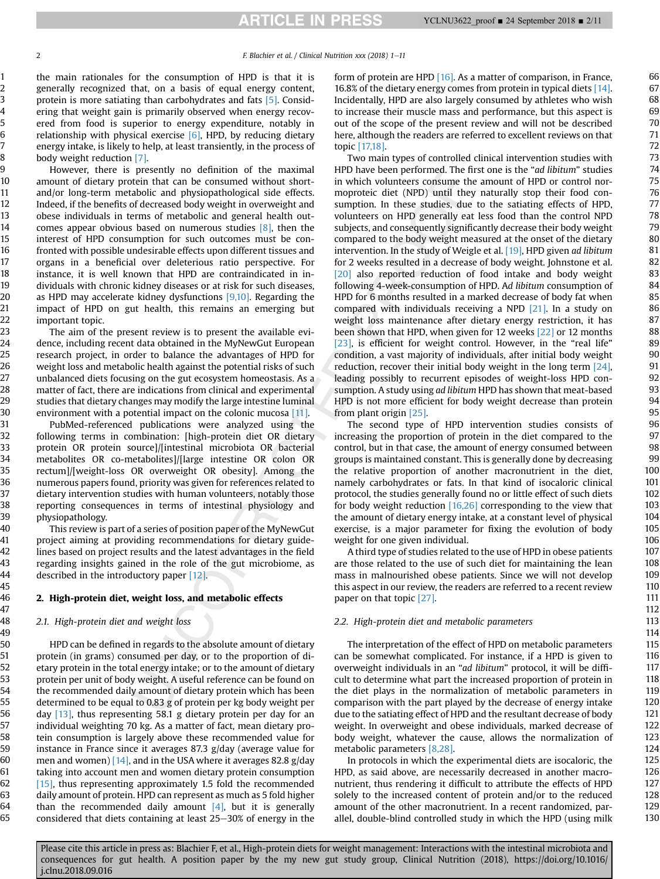the main rationales for the consumption of HPD is that it is generally recognized that, on a basis of equal energy content, protein is more satiating than carbohydrates and fats [\[5\]](#page-9-0). Considering that weight gain is primarily observed when energy recovered from food is superior to energy expenditure, notably in relationship with physical exercise [\[6\],](#page-9-0) HPD, by reducing dietary energy intake, is likely to help, at least transiently, in the process of body weight reduction [\[7\]](#page-9-0).

However, there is presently no definition of the maximal amount of dietary protein that can be consumed without shortand/or long-term metabolic and physiopathological side effects. Indeed, if the benefits of decreased body weight in overweight and obese individuals in terms of metabolic and general health outcomes appear obvious based on numerous studies  $[8]$ , then the interest of HPD consumption for such outcomes must be confronted with possible undesirable effects upon different tissues and organs in a beneficial over deleterious ratio perspective. For instance, it is well known that HPD are contraindicated in individuals with chronic kidney diseases or at risk for such diseases, as HPD may accelerate kidney dysfunctions [\[9,10\]](#page-9-0). Regarding the impact of HPD on gut health, this remains an emerging but important topic.

The aim of the present review is to present the available evidence, including recent data obtained in the MyNewGut European research project, in order to balance the advantages of HPD for weight loss and metabolic health against the potential risks of such unbalanced diets focusing on the gut ecosystem homeostasis. As a matter of fact, there are indications from clinical and experimental studies that dietary changes may modify the large intestine luminal environment with a potential impact on the colonic mucosa [\[11\].](#page-9-0)

PubMed-referenced publications were analyzed using the following terms in combination: [high-protein diet OR dietary protein OR protein source]/[intestinal microbiota OR bacterial metabolites OR co-metabolites]/[large intestine OR colon OR rectum]/[weight-loss OR overweight OR obesity]. Among the numerous papers found, priority was given for references related to dietary intervention studies with human volunteers, notably those reporting consequences in terms of intestinal physiology and physiopathology.

This review is part of a series of position paper of the MyNewGut project aiming at providing recommendations for dietary guidelines based on project results and the latest advantages in the field regarding insights gained in the role of the gut microbiome, as described in the introductory paper [\[12\].](#page-9-0)

#### 2. High-protein diet, weight loss, and metabolic effects

#### 2.1. High-protein diet and weight loss

HPD can be defined in regards to the absolute amount of dietary protein (in grams) consumed per day, or to the proportion of dietary protein in the total energy intake; or to the amount of dietary protein per unit of body weight. A useful reference can be found on the recommended daily amount of dietary protein which has been determined to be equal to 0.83 g of protein per kg body weight per day [\[13\],](#page-9-0) thus representing 58.1 g dietary protein per day for an individual weighting 70 kg. As a matter of fact, mean dietary protein consumption is largely above these recommended value for instance in France since it averages 87.3 g/day (average value for men and women) [\[14\]](#page-9-0), and in the USA where it averages 82.8 g/day taking into account men and women dietary protein consumption [\[15\],](#page-9-0) thus representing approximately 1.5 fold the recommended daily amount of protein. HPD can represent as much as 5 fold higher than the recommended daily amount  $[4]$ , but it is generally considered that diets containing at least  $25-30\%$  of energy in the

form of protein are HPD [\[16\]](#page-9-0). As a matter of comparison, in France, 16.8% of the dietary energy comes from protein in typical diets [\[14\].](#page-9-0) Incidentally, HPD are also largely consumed by athletes who wish to increase their muscle mass and performance, but this aspect is out of the scope of the present review and will not be described here, although the readers are referred to excellent reviews on that topic [\[17,18\]](#page-9-0).

Two main types of controlled clinical intervention studies with HPD have been performed. The first one is the "ad libitum" studies in which volunteers consume the amount of HPD or control normoproteic diet (NPD) until they naturally stop their food consumption. In these studies, due to the satiating effects of HPD, volunteers on HPD generally eat less food than the control NPD subjects, and consequently significantly decrease their body weight compared to the body weight measured at the onset of the dietary intervention. In the study of Weigle et al. [\[19\]](#page-9-0), HPD given ad libitum for 2 weeks resulted in a decrease of body weight. Johnstone et al. [\[20\]](#page-9-0) also reported reduction of food intake and body weight following 4-week-consumption of HPD. Ad libitum consumption of HPD for 6 months resulted in a marked decrease of body fat when compared with individuals receiving a NPD [\[21\].](#page-9-0) In a study on weight loss maintenance after dietary energy restriction, it has been shown that HPD, when given for 12 weeks [\[22\]](#page-9-0) or 12 months [\[23\]](#page-9-0), is efficient for weight control. However, in the "real life" condition, a vast majority of individuals, after initial body weight reduction, recover their initial body weight in the long term [\[24\],](#page-9-0) leading possibly to recurrent episodes of weight-loss HPD consumption. A study using ad libitum HPD has shown that meat-based HPD is not more efficient for body weight decrease than protein from plant origin [\[25\].](#page-9-0)

The second type of HPD intervention studies consists of increasing the proportion of protein in the diet compared to the control, but in that case, the amount of energy consumed between groups is maintained constant. This is generally done by decreasing the relative proportion of another macronutrient in the diet, namely carbohydrates or fats. In that kind of isocaloric clinical protocol, the studies generally found no or little effect of such diets for body weight reduction  $[16,26]$  corresponding to the view that the amount of dietary energy intake, at a constant level of physical exercise, is a major parameter for fixing the evolution of body weight for one given individual.

A third type of studies related to the use of HPD in obese patients are those related to the use of such diet for maintaining the lean mass in malnourished obese patients. Since we will not develop this aspect in our review, the readers are referred to a recent review paper on that topic [\[27\]](#page-9-0).

#### 2.2. High-protein diet and metabolic parameters

The interpretation of the effect of HPD on metabolic parameters can be somewhat complicated. For instance, if a HPD is given to overweight individuals in an "ad libitum" protocol, it will be difficult to determine what part the increased proportion of protein in the diet plays in the normalization of metabolic parameters in comparison with the part played by the decrease of energy intake due to the satiating effect of HPD and the resultant decrease of body weight. In overweight and obese individuals, marked decrease of body weight, whatever the cause, allows the normalization of metabolic parameters [\[8,28\].](#page-9-0)

In protocols in which the experimental diets are isocaloric, the HPD, as said above, are necessarily decreased in another macronutrient, thus rendering it difficult to attribute the effects of HPD solely to the increased content of protein and/or to the reduced amount of the other macronutrient. In a recent randomized, parallel, double-blind controlled study in which the HPD (using milk

128 129 130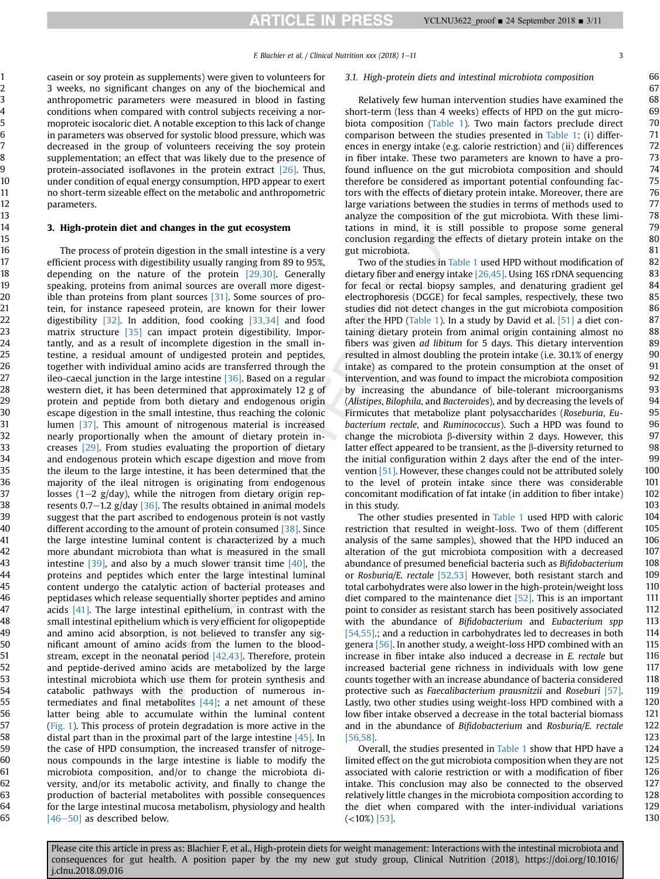casein or soy protein as supplements) were given to volunteers for 3 weeks, no significant changes on any of the biochemical and anthropometric parameters were measured in blood in fasting conditions when compared with control subjects receiving a normoproteic isocaloric diet. A notable exception to this lack of change in parameters was observed for systolic blood pressure, which was decreased in the group of volunteers receiving the soy protein supplementation; an effect that was likely due to the presence of protein-associated isoflavones in the protein extract [\[26\].](#page-9-0) Thus, under condition of equal energy consumption, HPD appear to exert no short-term sizeable effect on the metabolic and anthropometric parameters. 3. High-protein diet and changes in the gut ecosystem The process of protein digestion in the small intestine is a very 1 2 3 4 5 6 7 8 9 10 11 12 13 14 15 16 17 18 19

efficient process with digestibility usually ranging from 89 to 95%, depending on the nature of the protein [\[29,30\].](#page-9-0) Generally speaking, proteins from animal sources are overall more digestible than proteins from plant sources [\[31\].](#page-9-0) Some sources of protein, for instance rapeseed protein, are known for their lower digestibility [\[32\]](#page-9-0). In addition, food cooking [\[33,34\]](#page-9-0) and food matrix structure [\[35\]](#page-9-0) can impact protein digestibility. Importantly, and as a result of incomplete digestion in the small intestine, a residual amount of undigested protein and peptides, together with individual amino acids are transferred through the ileo-caecal junction in the large intestine  $[36]$ . Based on a regular western diet, it has been determined that approximately 12 g of protein and peptide from both dietary and endogenous origin escape digestion in the small intestine, thus reaching the colonic lumen [\[37\].](#page-9-0) This amount of nitrogenous material is increased nearly proportionally when the amount of dietary protein increases [\[29\].](#page-9-0) From studies evaluating the proportion of dietary and endogenous protein which escape digestion and move from the ileum to the large intestine, it has been determined that the majority of the ileal nitrogen is originating from endogenous losses (1-2 g/day), while the nitrogen from dietary origin represents  $0.7-1.2$  g/day [\[36\]](#page-9-0). The results obtained in animal models suggest that the part ascribed to endogenous protein is not vastly different according to the amount of protein consumed [\[38\]](#page-9-0). Since the large intestine luminal content is characterized by a much more abundant microbiota than what is measured in the small intestine [\[39\],](#page-9-0) and also by a much slower transit time [\[40\],](#page-9-0) the proteins and peptides which enter the large intestinal luminal content undergo the catalytic action of bacterial proteases and peptidases which release sequentially shorter peptides and amino acids [\[41\].](#page-9-0) The large intestinal epithelium, in contrast with the small intestinal epithelium which is very efficient for oligopeptide and amino acid absorption, is not believed to transfer any significant amount of amino acids from the lumen to the bloodstream, except in the neonatal period [\[42,43\]](#page-9-0). Therefore, protein and peptide-derived amino acids are metabolized by the large intestinal microbiota which use them for protein synthesis and catabolic pathways with the production of numerous intermediates and final metabolites  $[44]$ ; a net amount of these latter being able to accumulate within the luminal content ([Fig. 1\)](#page-3-0). This process of protein degradation is more active in the distal part than in the proximal part of the large intestine [\[45\].](#page-9-0) In the case of HPD consumption, the increased transfer of nitrogenous compounds in the large intestine is liable to modify the microbiota composition, and/or to change the microbiota diversity, and/or its metabolic activity, and finally to change the production of bacterial metabolites with possible consequences for the large intestinal mucosa metabolism, physiology and health  $[46-50]$  $[46-50]$  $[46-50]$  as described below.

#### 3.1. High-protein diets and intestinal microbiota composition

Relatively few human intervention studies have examined the short-term (less than 4 weeks) effects of HPD on the gut micro-biota composition ([Table 1](#page-4-0)). Two main factors preclude direct comparison between the studies presented in [Table 1](#page-4-0): (i) differences in energy intake (e.g. calorie restriction) and (ii) differences in fiber intake. These two parameters are known to have a profound influence on the gut microbiota composition and should therefore be considered as important potential confounding factors with the effects of dietary protein intake. Moreover, there are large variations between the studies in terms of methods used to analyze the composition of the gut microbiota. With these limitations in mind, it is still possible to propose some general conclusion regarding the effects of dietary protein intake on the gut microbiota.

Two of the studies in [Table 1](#page-4-0) used HPD without modification of dietary fiber and energy intake [\[26,45\]](#page-9-0). Using 16S rDNA sequencing for fecal or rectal biopsy samples, and denaturing gradient gel electrophoresis (DGGE) for fecal samples, respectively, these two studies did not detect changes in the gut microbiota composition after the HPD [\(Table 1\)](#page-4-0). In a study by David et al. [\[51\]](#page-9-0) a diet containing dietary protein from animal origin containing almost no fibers was given ad libitum for 5 days. This dietary intervention resulted in almost doubling the protein intake (i.e. 30.1% of energy intake) as compared to the protein consumption at the onset of intervention, and was found to impact the microbiota composition by increasing the abundance of bile-tolerant microorganisms (Alistipes, Bilophila, and Bacteroides), and by decreasing the levels of Firmicutes that metabolize plant polysaccharides (Roseburia, Eubacterium rectale, and Ruminococcus). Such a HPD was found to change the microbiota  $\beta$ -diversity within 2 days. However, this latter effect appeared to be transient, as the  $\beta$ -diversity returned to the initial configuration within 2 days after the end of the intervention [\[51\]](#page-9-0). However, these changes could not be attributed solely to the level of protein intake since there was considerable concomitant modification of fat intake (in addition to fiber intake) in this study.

The other studies presented in [Table 1](#page-4-0) used HPD with caloric restriction that resulted in weight-loss. Two of them (different analysis of the same samples), showed that the HPD induced an alteration of the gut microbiota composition with a decreased abundance of presumed beneficial bacteria such as Bifidobacterium or Rosburia/E. rectale [\[52,53\]](#page-9-0) However, both resistant starch and total carbohydrates were also lower in the high-protein/weight loss diet compared to the maintenance diet [\[52\]](#page-9-0). This is an important point to consider as resistant starch has been positively associated with the abundance of Bifidobacterium and Eubacterium spp [\[54,55\]](#page-9-0).; and a reduction in carbohydrates led to decreases in both genera [\[56\]](#page-9-0). In another study, a weight-loss HPD combined with an increase in fiber intake also induced a decrease in E. rectale but increased bacterial gene richness in individuals with low gene counts together with an increase abundance of bacteria considered protective such as Faecalibacterium prausnitzii and Roseburi [\[57\].](#page-10-0) Lastly, two other studies using weight-loss HPD combined with a low fiber intake observed a decrease in the total bacterial biomass and in the abundance of Bifidobacterium and Rosburia/E. rectale [\[56,58\]](#page-9-0).

Overall, the studies presented in [Table 1](#page-4-0) show that HPD have a limited effect on the gut microbiota composition when they are not associated with calorie restriction or with a modification of fiber intake. This conclusion may also be connected to the observed relatively little changes in the microbiota composition according to the diet when compared with the inter-individual variations  $\left($  <10%) [\[53\]](#page-9-0).

130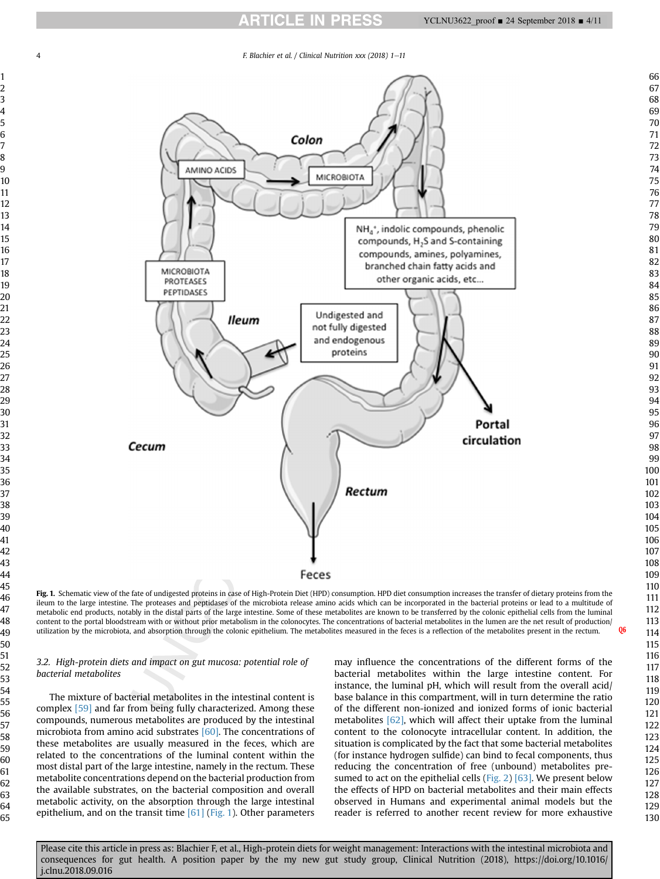<span id="page-3-0"></span>**F. Blachier et al. / Clinical Nutrition xxx (2018) 1–1** 

Colon AMINO ACIDS **MICROBIOTA** NH<sub>a</sub><sup>+</sup>, indolic compounds, phenolic compounds, H<sub>2</sub>S and S-containing compounds, amines, polyamines, branched chain fatty acids and **MICROBIOTA** other organic acids, etc... **PROTEASES** PEPTIDASES Undigested and **Ileum** not fully digested and endogenous proteins Portal circulation Cecum Rectum Feces

Fig. 1. Schematic view of the fate of undigested proteins in case of High-Protein Diet (HPD) consumption. HPD diet consumption increases the transfer of dietary proteins from the ileum to the large intestine. The proteases and peptidases of the microbiota release amino acids which can be incorporated in the bacterial proteins or lead to a multitude of metabolic end products, notably in the distal parts of the large intestine. Some of these metabolites are known to be transferred by the colonic epithelial cells from the luminal content to the portal bloodstream with or without prior metabolism in the colonocytes. The concentrations of bacterial metabolites in the lumen are the net result of production/ utilization by the microbiota, and absorption through the colonic epithelium. The metabolites measured in the feces is a reflection of the metabolites present in the rectum. Q6

3.2. High-protein diets and impact on gut mucosa: potential role of bacterial metabolites

The mixture of bacterial metabolites in the intestinal content is complex [\[59\]](#page-10-0) and far from being fully characterized. Among these compounds, numerous metabolites are produced by the intestinal microbiota from amino acid substrates [\[60\]](#page-10-0). The concentrations of these metabolites are usually measured in the feces, which are related to the concentrations of the luminal content within the most distal part of the large intestine, namely in the rectum. These metabolite concentrations depend on the bacterial production from the available substrates, on the bacterial composition and overall metabolic activity, on the absorption through the large intestinal epithelium, and on the transit time  $[61]$  (Fig. 1). Other parameters may influence the concentrations of the different forms of the bacterial metabolites within the large intestine content. For instance, the luminal pH, which will result from the overall acid/ base balance in this compartment, will in turn determine the ratio of the different non-ionized and ionized forms of ionic bacterial metabolites [\[62\]](#page-10-0), which will affect their uptake from the luminal content to the colonocyte intracellular content. In addition, the situation is complicated by the fact that some bacterial metabolites (for instance hydrogen sulfide) can bind to fecal components, thus reducing the concentration of free (unbound) metabolites pre-sumed to act on the epithelial cells [\(Fig. 2](#page-5-0))  $[63]$ . We present below the effects of HPD on bacterial metabolites and their main effects observed in Humans and experimental animal models but the reader is referred to another recent review for more exhaustive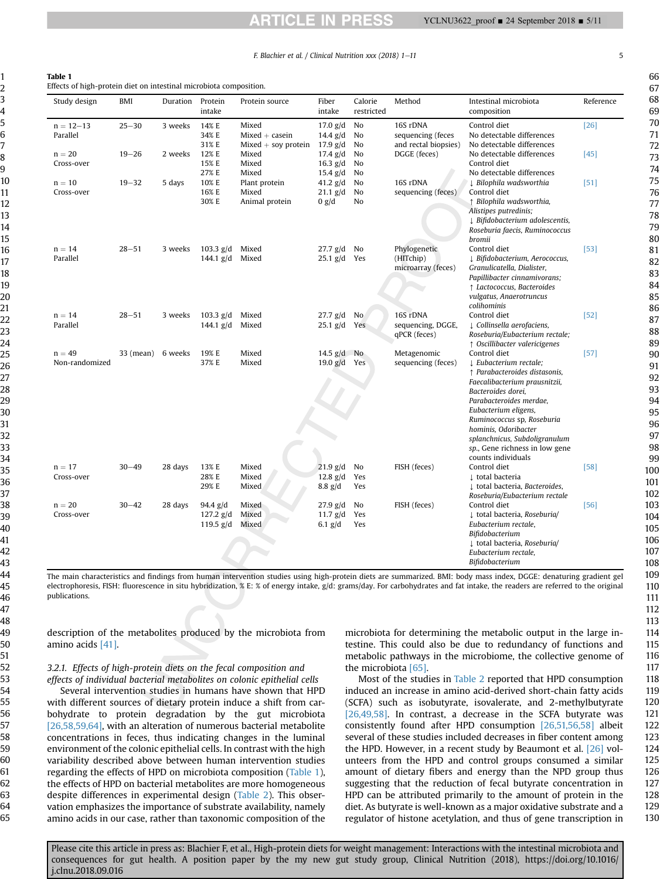## **ARTICLE IN PRESS**

F. Blachier et al. / Clinical Nutrition  $xxx$  (2018) 1-11 5

<span id="page-4-0"></span>

| Study design                                                                                                                                                                                                                   | BMI                                                  | Duration | Protein<br>intake                        | Protein                    |
|--------------------------------------------------------------------------------------------------------------------------------------------------------------------------------------------------------------------------------|------------------------------------------------------|----------|------------------------------------------|----------------------------|
| $n = 12 - 13$<br>Parallel                                                                                                                                                                                                      | $25 - 30$                                            | 3 weeks  | 14% E<br>34% E<br>31% E                  | Mixed<br>Mixed<br>Mixed    |
| $n = 20$<br>Cross-over                                                                                                                                                                                                         | $19 - 26$                                            | 2 weeks  | 12% E<br>15% E<br>27% E                  | Mixed<br>Mixed<br>Mixed    |
| $n = 10$<br>Cross-over                                                                                                                                                                                                         | $19 - 32$                                            | 5 days   | 10% E<br>16% E<br>30% E                  | Plant p<br>Mixed<br>Animal |
| $n = 14$<br>Parallel                                                                                                                                                                                                           | $28 - 51$                                            | 3 weeks  | $103.3$ g/d<br>$144.1$ g/d               | Mixed<br>Mixed             |
| $n = 14$<br>Parallel                                                                                                                                                                                                           | $28 - 51$                                            | 3 weeks  | $103.3$ g/d<br>144.1 $g/d$               | Mixed<br>Mixed             |
| $n = 49$<br>Non-randomized                                                                                                                                                                                                     | 33 (mean)                                            | 6 weeks  | 19% E<br>37% E                           | Mixed<br>Mixed             |
| $n = 17$<br>Cross-over                                                                                                                                                                                                         | $30 - 49$                                            | 28 days  | 13% E<br>28% E<br>29% E                  | Mixed<br>Mixed<br>Mixed    |
| $n = 20$<br>Cross-over                                                                                                                                                                                                         | $30 - 42$                                            | 28 days  | $94.4$ g/d<br>$127.2$ g/d<br>$119.5$ g/d | Mixed<br>Mixed<br>Mixed    |
| The main characteristics and findings from human intervention<br>electrophoresis, FISH: fluorescence in situ hybridization, % E: % o<br>publications.                                                                          |                                                      |          |                                          |                            |
| description of the metabolites produced by the m<br>amino acids $[41]$ .                                                                                                                                                       |                                                      |          |                                          |                            |
| 3.2.1. Effects of high-protein diets on the fecal compo.<br>effects of individual bacterial metabolites on colonic e<br>Several intervention studies in humans have sh<br>with different sources of dietary protein induce a : |                                                      |          |                                          |                            |
| bohydrate to protein degradation by the gu                                                                                                                                                                                     | [26,58,59,64], with an alteration of numerous bacter |          |                                          |                            |
|                                                                                                                                                                                                                                |                                                      |          |                                          |                            |
| concentrations in feces, thus indicating changes i<br>environment of the colonic epithelial cells. In contras<br>variability described above between human interv                                                              |                                                      |          |                                          |                            |
| regarding the effects of HPD on microbiota compos<br>the effects of HPD on bacterial metabolites are more<br>despite differences in experimental design (Table 2                                                               |                                                      |          |                                          |                            |

| Study design               | BMI       | Duration | Protein<br>intake                        | Protein source                                     | Fiber<br>intake                               | Calorie<br>restricted | Method                                                | Intestinal microbiota<br>composition                                                                                                                                                                                                                                                                                             | Reference |
|----------------------------|-----------|----------|------------------------------------------|----------------------------------------------------|-----------------------------------------------|-----------------------|-------------------------------------------------------|----------------------------------------------------------------------------------------------------------------------------------------------------------------------------------------------------------------------------------------------------------------------------------------------------------------------------------|-----------|
| $n = 12 - 13$<br>Parallel  | $25 - 30$ | 3 weeks  | 14% E<br>34% E<br>31% E                  | Mixed<br>$Mixed + casein$<br>$Mixed + soy protein$ | $17.0$ g/d<br>$14.4$ g/d<br>$17.9$ g/d        | No<br>No<br>No        | 16S rDNA<br>sequencing (feces<br>and rectal biopsies) | Control diet<br>No detectable differences<br>No detectable differences                                                                                                                                                                                                                                                           | $[26]$    |
| $n = 20$<br>Cross-over     | $19 - 26$ | 2 weeks  | 12% E<br>15% E<br>27% E                  | Mixed<br>Mixed<br>Mixed                            | $17.4$ g/d<br>$16.3$ g/d<br>$15.4$ g/d        | No<br>No<br>No        | DGGE (feces)                                          | No detectable differences<br>Control diet<br>No detectable differences                                                                                                                                                                                                                                                           | $[45]$    |
| n = 10<br>Cross-over       | $19 - 32$ | 5 days   | 10% E<br>16% E<br>30% E                  | Plant protein<br>Mixed<br>Animal protein           | $41.2$ g/d<br>$21.1 \text{ g/d}$<br>0 g/d     | No<br>No<br>No        | 16S rDNA<br>sequencing (feces)                        | ↓ Bilophila wadsworthia<br>Control diet<br>↑ Bilophila wadsworthia,<br>Alistipes putredinis;<br>↓ Bifidobacterium adolescentis,<br>Roseburia faecis, Ruminococcus<br>bromii                                                                                                                                                      | $[51]$    |
| $n=14$<br>Parallel         | $28 - 51$ | 3 weeks  | 103.3 $g/d$ Mixed<br>144.1 $g/d$ Mixed   |                                                    | $27.7$ g/d No<br>$25.1$ g/d Yes               |                       | Phylogenetic<br>(HITchip)<br>microarray (feces)       | Control diet<br>↓ Bifidobacterium, Aerococcus,<br>Granulicatella, Dialister,<br>Papillibacter cinnamivorans;<br>↑ Lactococcus, Bacteroides<br>vulgatus, Anaerotruncus<br>colihominis                                                                                                                                             | $[53]$    |
| $n = 14$<br>Parallel       | $28 - 51$ | 3 weeks  | $103.3$ g/d<br>144.1 $g/d$               | Mixed<br>Mixed                                     | $27.7$ g/d No<br>$25.1$ g/d Yes               |                       | 16S rDNA<br>sequencing, DGGE,<br>qPCR (feces)         | Control diet<br>↓ Collinsella aerofaciens,<br>Roseburia/Eubacterium rectale;<br>↑ Oscillibacter valericigenes                                                                                                                                                                                                                    | $[52]$    |
| $n = 49$<br>Non-randomized | 33 (mean) | 6 weeks  | 19% E<br>37% E                           | Mixed<br>Mixed                                     | 14.5 $g/d$ No<br>19.0 $g/d$ Yes               |                       | Metagenomic<br>sequencing (feces)                     | Control diet<br>↓ Eubacterium rectale;<br>↑ Parabacteroides distasonis,<br>Faecalibacterium prausnitzii,<br>Bacteroides dorei,<br>Parabacteroides merdae.<br>Eubacterium eligens,<br>Ruminococcus sp, Roseburia<br>hominis, Odoribacter<br>splanchnicus, Subdoligranulum<br>sp., Gene richness in low gene<br>counts individuals | $[57]$    |
| $n=17$<br>Cross-over       | $30 - 49$ | 28 days  | 13% E<br>28% E<br>29% E                  | Mixed<br>Mixed<br>Mixed                            | $21.9$ g/d<br>$12.8 \text{ g/d}$<br>$8.8$ g/d | No<br>Yes<br>Yes      | FISH (feces)                                          | Control diet<br>↓ total bacteria<br>↓ total bacteria, Bacteroides,<br>Roseburia/Eubacterium rectale                                                                                                                                                                                                                              | $[58]$    |
| $n = 20$<br>Cross-over     | $30 - 42$ | 28 days  | $94.4$ g/d<br>$127.2$ g/d<br>119.5 $g/d$ | Mixed<br>Mixed<br>Mixed                            | $27.9$ g/d<br>11.7 $g/d$ Yes<br>$6.1$ g/d     | No<br>Yes             | FISH (feces)                                          | Control diet<br>↓ total bacteria, Roseburia/<br>Eubacterium rectale,<br>Bifidobacterium<br>↓ total bacteria, Roseburia/<br>Eubacterium rectale,<br>Bifidobacterium                                                                                                                                                               | $[56]$    |

nd findings from human intervention studies using high-protein diets are summarized. BMI: body mass index, DGGE: denaturing gradient gel escence in situ hybridization, % E: % of energy intake, g/d: grams/day. For carbohydrates and fat intake, the readers are referred to the original

etabolites produced by the microbiota from

rotein diets on the fecal composition and

icterial metabolites on colonic epithelial cells on studies in humans have shown that HPD s of dietary protein induce a shift from carin degradation by the gut microbiota alteration of numerous bacterial metabolite ces, thus indicating changes in the luminal lonic epithelial cells. In contrast with the high above between human intervention studies of HPD on microbiota composition (Table 1), bacterial metabolites are more homogeneous experimental design [\(Table 2](#page-6-0)). This obsere importance of substrate availability, namely se, rather than taxonomic composition of the microbiota for determining the metabolic output in the large intestine. This could also be due to redundancy of functions and metabolic pathways in the microbiome, the collective genome of the microbiota [\[65\].](#page-10-0)

Most of the studies in [Table 2](#page-6-0) reported that HPD consumption induced an increase in amino acid-derived short-chain fatty acids (SCFA) such as isobutyrate, isovalerate, and 2-methylbutyrate [\[26,49,58\].](#page-9-0) In contrast, a decrease in the SCFA butyrate was consistently found after HPD consumption [\[26,51,56,58\]](#page-9-0) albeit several of these studies included decreases in fiber content among the HPD. However, in a recent study by Beaumont et al. [\[26\]](#page-9-0) volunteers from the HPD and control groups consumed a similar amount of dietary fibers and energy than the NPD group thus suggesting that the reduction of fecal butyrate concentration in HPD can be attributed primarily to the amount of protein in the diet. As butyrate is well-known as a major oxidative substrate and a regulator of histone acetylation, and thus of gene transcription in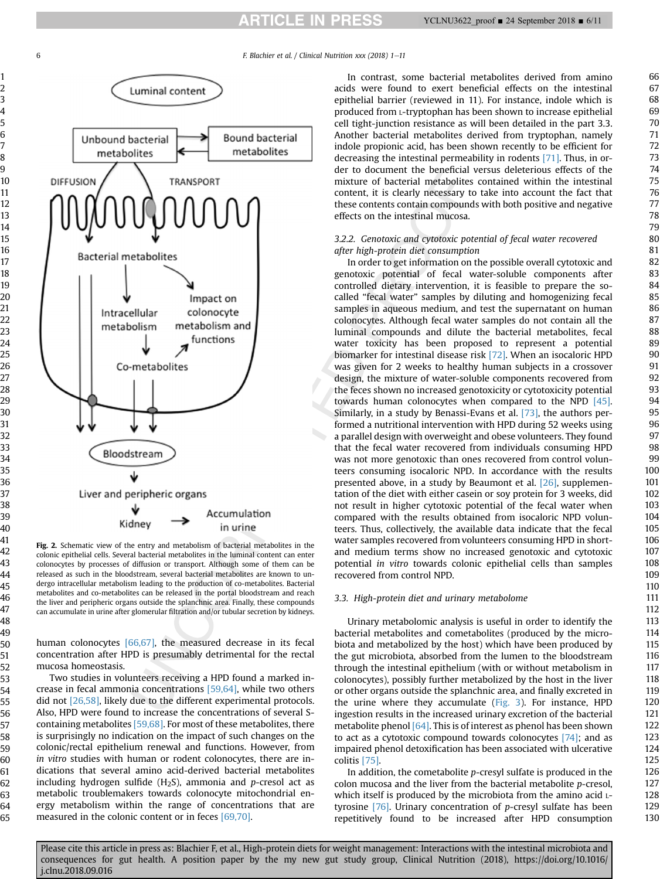

<span id="page-5-0"></span>6 **F. Blachier et al. / Clinical Nutrition xxx** (2018) 1-11



Fig. 2. Schematic view of the entry and metabolism of bacterial metabolites in the colonic epithelial cells. Several bacterial metabolites in the luminal content can enter colonocytes by processes of diffusion or transport. Although some of them can be released as such in the bloodstream, several bacterial metabolites are known to undergo intracellular metabolism leading to the production of co-metabolites. Bacterial metabolites and co-metabolites can be released in the portal bloodstream and reach the liver and peripheric organs outside the splanchnic area. Finally, these compounds can accumulate in urine after glomerular filtration and/or tubular secretion by kidneys.

human colonocytes [\[66,67\]](#page-10-0), the measured decrease in its fecal concentration after HPD is presumably detrimental for the rectal mucosa homeostasis.

Two studies in volunteers receiving a HPD found a marked increase in fecal ammonia concentrations [\[59,64\],](#page-10-0) while two others did not [\[26,58\],](#page-9-0) likely due to the different experimental protocols. Also, HPD were found to increase the concentrations of several Scontaining metabolites [\[59,68\]](#page-10-0). For most of these metabolites, there is surprisingly no indication on the impact of such changes on the colonic/rectal epithelium renewal and functions. However, from in vitro studies with human or rodent colonocytes, there are indications that several amino acid-derived bacterial metabolites including hydrogen sulfide  $(H<sub>2</sub>S)$ , ammonia and p-cresol act as metabolic troublemakers towards colonocyte mitochondrial energy metabolism within the range of concentrations that are measured in the colonic content or in feces [\[69,70\]](#page-10-0).

In contrast, some bacterial metabolites derived from amino acids were found to exert beneficial effects on the intestinal epithelial barrier (reviewed in 11). For instance, indole which is produced from L-tryptophan has been shown to increase epithelial cell tight-junction resistance as will been detailed in the part 3.3. Another bacterial metabolites derived from tryptophan, namely indole propionic acid, has been shown recently to be efficient for decreasing the intestinal permeability in rodents [\[71\].](#page-10-0) Thus, in order to document the beneficial versus deleterious effects of the mixture of bacterial metabolites contained within the intestinal content, it is clearly necessary to take into account the fact that these contents contain compounds with both positive and negative effects on the intestinal mucosa.

#### 3.2.2. Genotoxic and cytotoxic potential of fecal water recovered after high-protein diet consumption

In order to get information on the possible overall cytotoxic and genotoxic potential of fecal water-soluble components after controlled dietary intervention, it is feasible to prepare the socalled "fecal water" samples by diluting and homogenizing fecal samples in aqueous medium, and test the supernatant on human colonocytes. Although fecal water samples do not contain all the luminal compounds and dilute the bacterial metabolites, fecal water toxicity has been proposed to represent a potential biomarker for intestinal disease risk [\[72\]](#page-10-0). When an isocaloric HPD was given for 2 weeks to healthy human subjects in a crossover design, the mixture of water-soluble components recovered from the feces shown no increased genotoxicity or cytotoxicity potential towards human colonocytes when compared to the NPD [\[45\].](#page-9-0) Similarly, in a study by Benassi-Evans et al. [\[73\],](#page-10-0) the authors performed a nutritional intervention with HPD during 52 weeks using a parallel design with overweight and obese volunteers. They found that the fecal water recovered from individuals consuming HPD was not more genotoxic than ones recovered from control volunteers consuming isocaloric NPD. In accordance with the results presented above, in a study by Beaumont et al. [\[26\],](#page-9-0) supplementation of the diet with either casein or soy protein for 3 weeks, did not result in higher cytotoxic potential of the fecal water when compared with the results obtained from isocaloric NPD volunteers. Thus, collectively, the available data indicate that the fecal water samples recovered from volunteers consuming HPD in shortand medium terms show no increased genotoxic and cytotoxic potential in vitro towards colonic epithelial cells than samples recovered from control NPD.

#### 3.3. High-protein diet and urinary metabolome

Urinary metabolomic analysis is useful in order to identify the bacterial metabolites and cometabolites (produced by the microbiota and metabolized by the host) which have been produced by the gut microbiota, absorbed from the lumen to the bloodstream through the intestinal epithelium (with or without metabolism in colonocytes), possibly further metabolized by the host in the liver or other organs outside the splanchnic area, and finally excreted in the urine where they accumulate [\(Fig. 3](#page-7-0)). For instance, HPD ingestion results in the increased urinary excretion of the bacterial metabolite phenol  $[64]$ . This is of interest as phenol has been shown to act as a cytotoxic compound towards colonocytes  $[74]$ ; and as impaired phenol detoxification has been associated with ulcerative colitis [\[75\]](#page-10-0).

In addition, the cometabolite  $p$ -cresyl sulfate is produced in the colon mucosa and the liver from the bacterial metabolite p-cresol, which itself is produced by the microbiota from the amino acid Ltyrosine [\[76\]](#page-10-0). Urinary concentration of p-cresyl sulfate has been repetitively found to be increased after HPD consumption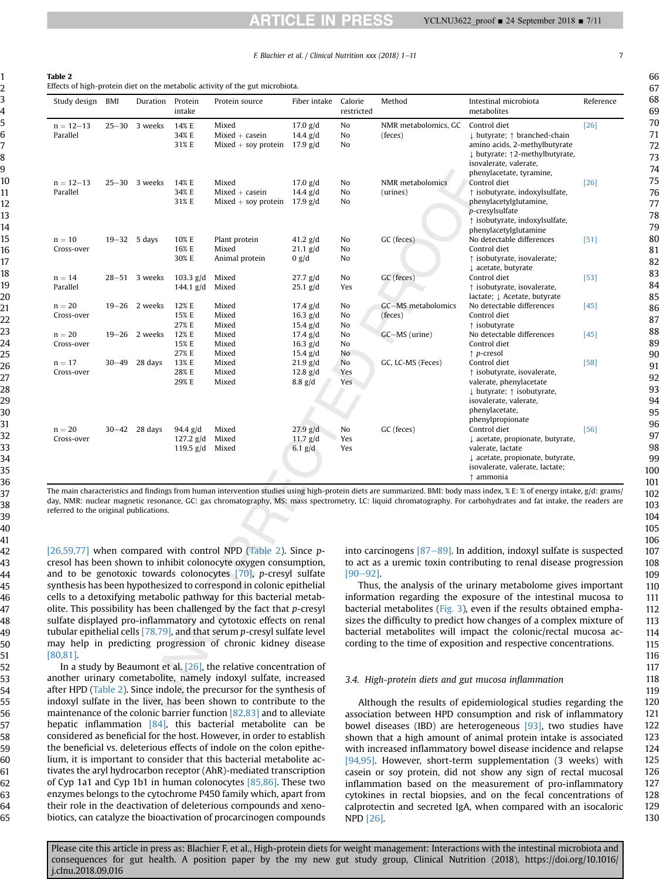F. Blachier et al. / Clinical Nutrition  $xxx$  (2018) 1-11 7

| 66 |
|----|
| 67 |

| Effects of high-protein diet on the metabolic activity of the gut microbiota. |  |  |
|-------------------------------------------------------------------------------|--|--|
|                                                                               |  |  |

<span id="page-6-0"></span>Table 2

| Study design              | <b>BMI</b> | Duration          | Protein<br>intake                        | Protein source                                     | Fiber intake                           | Calorie<br>restricted                   | Method                          | Intestinal microbiota<br>metabolites                                                                                                                                                   | Reference |
|---------------------------|------------|-------------------|------------------------------------------|----------------------------------------------------|----------------------------------------|-----------------------------------------|---------------------------------|----------------------------------------------------------------------------------------------------------------------------------------------------------------------------------------|-----------|
| $n = 12 - 13$<br>Parallel |            | $25-30$ 3 weeks   | 14% E<br>34% E<br>31% E                  | Mixed<br>$Mixed + casein$<br>$Mixed + soy protein$ | $17.0$ g/d<br>$14.4$ g/d<br>$17.9$ g/d | N <sub>o</sub><br>N <sub>o</sub><br>No  | NMR metabolomics, GC<br>(feces) | Control diet<br>↓ butyrate; ↑ branched-chain<br>amino acids, 2-methylbutyrate<br>↓ butyrate; ↑2-methylbutyrate,<br>isovalerate, valerate,<br>phenylacetate, tyramine,                  | $[26]$    |
| $n = 12 - 13$<br>Parallel |            | $25-30$ 3 weeks   | 14% E<br>34% E<br>31% E                  | Mixed<br>$Mixed + casein$<br>$Mixed + soy$ protein | $17.0$ g/d<br>$14.4$ g/d<br>$17.9$ g/d | N <sub>o</sub><br>N <sub>o</sub><br>No  | NMR metabolomics<br>(urines)    | Control diet<br>↑ isobutyrate, indoxylsulfate,<br>phenylacetylglutamine,<br>p-cresylsulfate<br>↑ isobutyrate, indoxylsulfate,<br>phenylacetylglutamine                                 | $[26]$    |
| $n = 10$<br>Cross-over    |            | $19 - 32$ 5 days  | 10% E<br>16% E<br>30% E                  | Plant protein<br>Mixed<br>Animal protein           | 41.2 $g/d$<br>$21.1$ g/d<br>0 g/d      | No<br>N <sub>o</sub><br>No              | GC (feces)                      | No detectable differences<br>Control diet<br>t isobutyrate, isovalerate;<br>l acetate, butyrate                                                                                        | $[51]$    |
| $n = 14$<br>Parallel      |            | $28 - 51$ 3 weeks | $103.3$ g/d<br>144.1 $g/d$               | Mixed<br>Mixed                                     | $27.7$ g/d<br>$25.1$ g/d               | N <sub>o</sub><br>Yes                   | GC (feces)                      | Control diet<br>↑ isobutyrate, isovalerate,<br>lactate; ↓ Acetate, butyrate                                                                                                            | $[53]$    |
| $n = 20$<br>Cross-over    | $19 - 26$  | 2 weeks           | 12% E<br>15% E<br>27% E                  | Mixed<br>Mixed<br>Mixed                            | $17.4$ g/d<br>$16.3$ g/d<br>$15.4$ g/d | No<br>No<br>No                          | GC-MS metabolomics<br>(feces)   | No detectable differences<br>Control diet<br>↑ isobutyrate                                                                                                                             | $[45]$    |
| $n = 20$<br>Cross-over    | $19 - 26$  | 2 weeks           | 12% E<br>15% E<br>27% E                  | Mixed<br>Mixed<br>Mixed                            | $17.4$ g/d<br>$16.3$ g/d<br>$15.4$ g/d | N <sub>o</sub><br>N <sub>o</sub><br>No. | GC-MS (urine)                   | No detectable differences<br>Control diet<br>$\uparrow$ p-cresol                                                                                                                       | $[45]$    |
| $n = 17$<br>Cross-over    | $30 - 49$  | 28 days           | 13% E<br>28% E<br>29% E                  | Mixed<br>Mixed<br>Mixed                            | $21.9$ g/d<br>$12.8$ g/d<br>$8.8$ g/d  | No<br>Yes<br>Yes                        | GC, LC-MS (Feces)               | Control diet<br>↑ isobutyrate, isovalerate,<br>valerate, phenylacetate<br>↓ butyrate; ↑ isobutyrate,<br>isovalerate, valerate,<br>phenylacetate,                                       | $[58]$    |
| $n = 20$<br>Cross-over    | $30 - 42$  | 28 days           | $94.4$ g/d<br>$127.2$ g/d<br>119.5 $g/d$ | Mixed<br>Mixed<br>Mixed                            | $27.9$ g/d<br>$11.7$ g/d<br>$6.1$ g/d  | No<br>Yes<br>Yes                        | GC (feces)                      | phenylpropionate<br>Control diet<br>↓ acetate, propionate, butyrate,<br>valerate, lactate<br>l acetate, propionate, butyrate,<br>isovalerate, valerate, lactate;<br>$\uparrow$ ammonia | $[56]$    |

The main characteristics and findings from human intervention studies using high-protein diets are summarized. BMI: body mass index, % E: % of energy intake, g/d: grams/ day, NMR: nuclear magnetic resonance, GC: gas chromatography, MS: mass spectrometry, LC: liquid chromatography. For carbohydrates and fat intake, the readers are referred to the original publications.

[\[26,59,77\]](#page-9-0) when compared with control NPD (Table 2). Since pcresol has been shown to inhibit colonocyte oxygen consumption, and to be genotoxic towards colonocytes  $[70]$ , p-cresyl sulfate synthesis has been hypothesized to correspond in colonic epithelial cells to a detoxifying metabolic pathway for this bacterial metabolite. This possibility has been challenged by the fact that p-cresyl sulfate displayed pro-inflammatory and cytotoxic effects on renal tubular epithelial cells [\[78,79\]](#page-10-0), and that serum p-cresyl sulfate level may help in predicting progression of chronic kidney disease [\[80,81\]](#page-10-0).

In a study by Beaumont et al. [\[26\]](#page-9-0), the relative concentration of another urinary cometabolite, namely indoxyl sulfate, increased after HPD (Table 2). Since indole, the precursor for the synthesis of indoxyl sulfate in the liver, has been shown to contribute to the maintenance of the colonic barrier function [\[82,83\]](#page-10-0) and to alleviate hepatic inflammation [\[84\],](#page-10-0) this bacterial metabolite can be considered as beneficial for the host. However, in order to establish the beneficial vs. deleterious effects of indole on the colon epithelium, it is important to consider that this bacterial metabolite activates the aryl hydrocarbon receptor (AhR)-mediated transcription of Cyp 1a1 and Cyp 1b1 in human colonocytes [\[85,86\].](#page-10-0) These two enzymes belongs to the cytochrome P450 family which, apart from their role in the deactivation of deleterious compounds and xenobiotics, can catalyze the bioactivation of procarcinogen compounds into carcinogens  $[87-89]$  $[87-89]$  $[87-89]$ . In addition, indoxyl sulfate is suspected to act as a uremic toxin contributing to renal disease progression  $[90 - 92]$  $[90 - 92]$ 

Thus, the analysis of the urinary metabolome gives important information regarding the exposure of the intestinal mucosa to bacterial metabolites ([Fig. 3](#page-7-0)), even if the results obtained emphasizes the difficulty to predict how changes of a complex mixture of bacterial metabolites will impact the colonic/rectal mucosa according to the time of exposition and respective concentrations.

#### 3.4. High-protein diets and gut mucosa inflammation

Although the results of epidemiological studies regarding the association between HPD consumption and risk of inflammatory bowel diseases (IBD) are heterogeneous  $[93]$ , two studies have shown that a high amount of animal protein intake is associated with increased inflammatory bowel disease incidence and relapse [\[94,95\]](#page-10-0). However, short-term supplementation (3 weeks) with casein or soy protein, did not show any sign of rectal mucosal inflammation based on the measurement of pro-inflammatory cytokines in rectal biopsies, and on the fecal concentrations of calprotectin and secreted IgA, when compared with an isocaloric NPD [\[26\].](#page-9-0)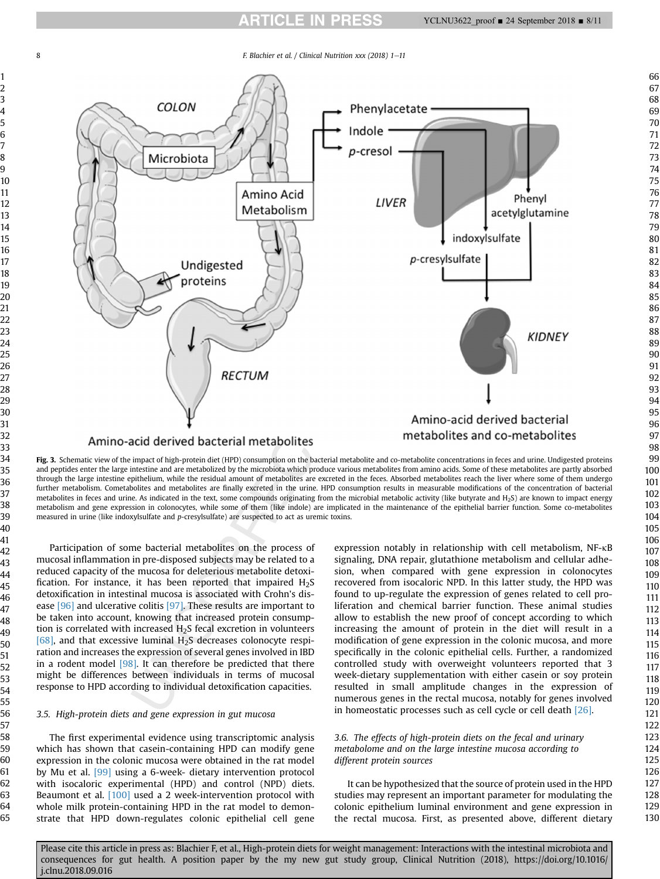### **ARTICLE IN PRESS**

<span id="page-7-0"></span>**Blachier et al. / Clinical Nutrition xxx** (2018) 1-11



### Amino-acid derived bacterial metabolites

Fig. 3. Schematic view of the impact of high-protein diet (HPD) consumption on the bacterial metabolite and co-metabolite concentrations in feces and urine. Undigested proteins and peptides enter the large intestine and are metabolized by the microbiota which produce various metabolites from amino acids. Some of these metabolites are partly absorbed through the large intestine epithelium, while the residual amount of metabolites are excreted in the feces. Absorbed metabolites reach the liver where some of them undergo further metabolism. Cometabolites and metabolites are finally excreted in the urine. HPD consumption results in measurable modifications of the concentration of bacterial metabolites in feces and urine. As indicated in the text, some compounds originating from the microbial metabolic activity (like butyrate and H2S) are known to impact energy metabolism and gene expression in colonocytes, while some of them (like indole) are implicated in the maintenance of the epithelial barrier function. Some co-metabolites measured in urine (like indoxylsulfate and p-cresylsulfate) are suspected to act as uremic toxins.

Participation of some bacterial metabolites on the process of mucosal inflammation in pre-disposed subjects may be related to a reduced capacity of the mucosa for deleterious metabolite detoxification. For instance, it has been reported that impaired  $H_2S$ detoxification in intestinal mucosa is associated with Crohn's disease [\[96\]](#page-10-0) and ulcerative colitis [\[97\]](#page-10-0). These results are important to be taken into account, knowing that increased protein consumption is correlated with increased H2S fecal excretion in volunteers  $[68]$ , and that excessive luminal H<sub>2</sub>S decreases colonocyte respiration and increases the expression of several genes involved in IBD in a rodent model  $[98]$ . It can therefore be predicted that there might be differences between individuals in terms of mucosal response to HPD according to individual detoxification capacities.

#### 3.5. High-protein diets and gene expression in gut mucosa

The first experimental evidence using transcriptomic analysis which has shown that casein-containing HPD can modify gene expression in the colonic mucosa were obtained in the rat model by Mu et al. [\[99\]](#page-10-0) using a 6-week- dietary intervention protocol with isocaloric experimental (HPD) and control (NPD) diets. Beaumont et al. <a>[\[100\]](#page-10-0)</a> used a 2 week-intervention protocol with whole milk protein-containing HPD in the rat model to demonstrate that HPD down-regulates colonic epithelial cell gene

expression notably in relationship with cell metabolism, NF-kB signaling, DNA repair, glutathione metabolism and cellular adhesion, when compared with gene expression in colonocytes recovered from isocaloric NPD. In this latter study, the HPD was found to up-regulate the expression of genes related to cell proliferation and chemical barrier function. These animal studies allow to establish the new proof of concept according to which increasing the amount of protein in the diet will result in a modification of gene expression in the colonic mucosa, and more specifically in the colonic epithelial cells. Further, a randomized controlled study with overweight volunteers reported that 3 week-dietary supplementation with either casein or soy protein resulted in small amplitude changes in the expression of numerous genes in the rectal mucosa, notably for genes involved in homeostatic processes such as cell cycle or cell death [\[26\]](#page-9-0).

### 3.6. The effects of high-protein diets on the fecal and urinary metabolome and on the large intestine mucosa according to different protein sources

It can be hypothesized that the source of protein used in the HPD studies may represent an important parameter for modulating the colonic epithelium luminal environment and gene expression in the rectal mucosa. First, as presented above, different dietary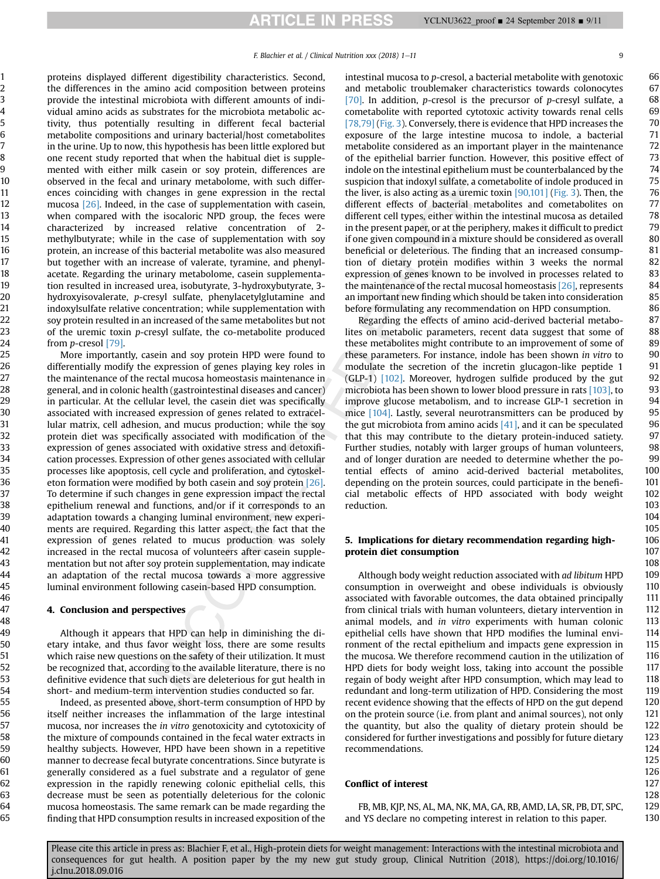proteins displayed different digestibility characteristics. Second, the differences in the amino acid composition between proteins provide the intestinal microbiota with different amounts of individual amino acids as substrates for the microbiota metabolic activity, thus potentially resulting in different fecal bacterial metabolite compositions and urinary bacterial/host cometabolites in the urine. Up to now, this hypothesis has been little explored but one recent study reported that when the habitual diet is supplemented with either milk casein or soy protein, differences are observed in the fecal and urinary metabolome, with such differences coinciding with changes in gene expression in the rectal mucosa [\[26\].](#page-9-0) Indeed, in the case of supplementation with casein, when compared with the isocaloric NPD group, the feces were characterized by increased relative concentration of 2 methylbutyrate; while in the case of supplementation with soy protein, an increase of this bacterial metabolite was also measured but together with an increase of valerate, tyramine, and phenylacetate. Regarding the urinary metabolome, casein supplementation resulted in increased urea, isobutyrate, 3-hydroxybutyrate, 3 hydroxyisovalerate, p-cresyl sulfate, phenylacetylglutamine and indoxylsulfate relative concentration; while supplementation with soy protein resulted in an increased of the same metabolites but not of the uremic toxin p-cresyl sulfate, the co-metabolite produced from p-cresol [\[79\]](#page-10-0).

More importantly, casein and soy protein HPD were found to differentially modify the expression of genes playing key roles in the maintenance of the rectal mucosa homeostasis maintenance in general, and in colonic health (gastrointestinal diseases and cancer) in particular. At the cellular level, the casein diet was specifically associated with increased expression of genes related to extracellular matrix, cell adhesion, and mucus production; while the soy protein diet was specifically associated with modification of the expression of genes associated with oxidative stress and detoxification processes. Expression of other genes associated with cellular processes like apoptosis, cell cycle and proliferation, and cytoskeleton formation were modified by both casein and soy protein [\[26\].](#page-9-0) To determine if such changes in gene expression impact the rectal epithelium renewal and functions, and/or if it corresponds to an adaptation towards a changing luminal environment, new experiments are required. Regarding this latter aspect, the fact that the expression of genes related to mucus production was solely increased in the rectal mucosa of volunteers after casein supplementation but not after soy protein supplementation, may indicate an adaptation of the rectal mucosa towards a more aggressive luminal environment following casein-based HPD consumption.

#### 4. Conclusion and perspectives

Although it appears that HPD can help in diminishing the dietary intake, and thus favor weight loss, there are some results which raise new questions on the safety of their utilization. It must be recognized that, according to the available literature, there is no definitive evidence that such diets are deleterious for gut health in short- and medium-term intervention studies conducted so far.

Indeed, as presented above, short-term consumption of HPD by itself neither increases the inflammation of the large intestinal mucosa, nor increases the in vitro genotoxicity and cytotoxicity of the mixture of compounds contained in the fecal water extracts in healthy subjects. However, HPD have been shown in a repetitive manner to decrease fecal butyrate concentrations. Since butyrate is generally considered as a fuel substrate and a regulator of gene expression in the rapidly renewing colonic epithelial cells, this decrease must be seen as potentially deleterious for the colonic mucosa homeostasis. The same remark can be made regarding the finding that HPD consumption results in increased exposition of the intestinal mucosa to p-cresol, a bacterial metabolite with genotoxic and metabolic troublemaker characteristics towards colonocytes [\[70\].](#page-10-0) In addition, *p*-cresol is the precursor of *p*-cresyl sulfate, a cometabolite with reported cytotoxic activity towards renal cells [\[78,79\]](#page-10-0) [\(Fig. 3](#page-7-0)). Conversely, there is evidence that HPD increases the exposure of the large intestine mucosa to indole, a bacterial metabolite considered as an important player in the maintenance of the epithelial barrier function. However, this positive effect of indole on the intestinal epithelium must be counterbalanced by the suspicion that indoxyl sulfate, a cometabolite of indole produced in the liver, is also acting as a uremic toxin [\[90,101\]](#page-10-0) ([Fig. 3\)](#page-7-0). Then, the different effects of bacterial metabolites and cometabolites on different cell types, either within the intestinal mucosa as detailed in the present paper, or at the periphery, makes it difficult to predict if one given compound in a mixture should be considered as overall beneficial or deleterious. The finding that an increased consumption of dietary protein modifies within 3 weeks the normal expression of genes known to be involved in processes related to the maintenance of the rectal mucosal homeostasis [\[26\]](#page-9-0), represents an important new finding which should be taken into consideration before formulating any recommendation on HPD consumption.

Regarding the effects of amino acid-derived bacterial metabolites on metabolic parameters, recent data suggest that some of these metabolites might contribute to an improvement of some of these parameters. For instance, indole has been shown in vitro to modulate the secretion of the incretin glucagon-like peptide 1 (GLP-1) [\[102\].](#page-10-0) Moreover, hydrogen sulfide produced by the gut microbiota has been shown to lower blood pressure in rats [\[103\]](#page-10-0), to improve glucose metabolism, and to increase GLP-1 secretion in mice [\[104\].](#page-10-0) Lastly, several neurotransmitters can be produced by the gut microbiota from amino acids  $[41]$ , and it can be speculated that this may contribute to the dietary protein-induced satiety. Further studies, notably with larger groups of human volunteers, and of longer duration are needed to determine whether the potential effects of amino acid-derived bacterial metabolites, depending on the protein sources, could participate in the beneficial metabolic effects of HPD associated with body weight reduction.

#### 5. Implications for dietary recommendation regarding highprotein diet consumption

Although body weight reduction associated with ad libitum HPD consumption in overweight and obese individuals is obviously associated with favorable outcomes, the data obtained principally from clinical trials with human volunteers, dietary intervention in animal models, and in vitro experiments with human colonic epithelial cells have shown that HPD modifies the luminal environment of the rectal epithelium and impacts gene expression in the mucosa. We therefore recommend caution in the utilization of HPD diets for body weight loss, taking into account the possible regain of body weight after HPD consumption, which may lead to redundant and long-term utilization of HPD. Considering the most recent evidence showing that the effects of HPD on the gut depend on the protein source (i.e. from plant and animal sources), not only the quantity, but also the quality of dietary protein should be considered for further investigations and possibly for future dietary recommendations.

#### Conflict of interest

FB, MB, KJP, NS, AL, MA, NK, MA, GA, RB, AMD, LA, SR, PB, DT, SPC, and YS declare no competing interest in relation to this paper.

130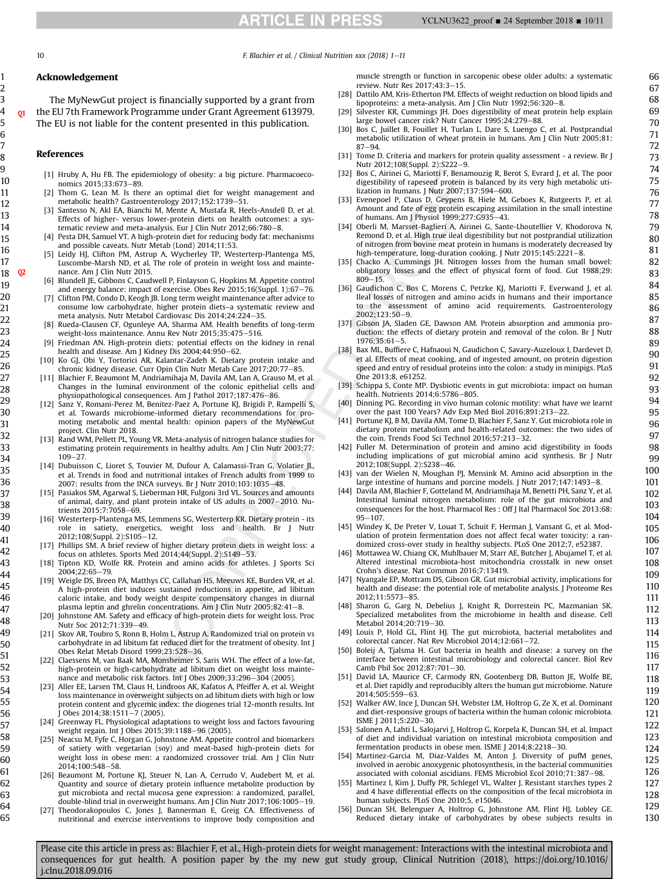<span id="page-9-0"></span>10 **F. Blachier et al. / Clinical Nutrition xxx** (2018) 1-11

#### Acknowledgement

The MyNewGut project is financially supported by a grant from 01 the EU 7th Framework Programme under Grant Agreement 613979. The EU is not liable for the content presented in this publication.

#### References

- [1] Hruby A, Hu FB. The epidemiology of obesity: a big picture. Pharmacoeconomics 2015:33:673-89.
- [2] Thom G, Lean M. Is there an optimal diet for weight management and metabolic health? Gastroenterology 2017;152:1739-51.
- Santesso N, Akl EA, Bianchi M, Mente A, Mustafa R, Heels-Ansdell D, et al. Effects of higher- versus lower-protein diets on health outcomes: a systematic review and meta-analysis. Eur J Clin Nutr 2012;66:780-8.
- [4] Pesta DH, Samuel VT. A high-protein diet for reducing body fat: mechanisms and possible caveats. Nutr Metab (Lond) 2014;11:53.
- [5] Leidy HJ, Clifton PM, Astrup A, Wycherley TP, Westerterp-Plantenga MS, Luscombe-Marsh ND, et al. The role of protein in weight loss and mainte-Q2 nance. Am J Clin Nutr 2015.
	- [6] Blundell JE, Gibbons C, Caudwell P, Finlayson G, Hopkins M. Appetite control and energy balance: impact of exercise. Obes Rev  $2015;16(Suppl. 1):67-76$ .
	- [7] Clifton PM, Condo D, Keogh JB. Long term weight maintenance after advice to consume low carbohydrate, higher protein diets–a systematic review and meta analysis. Nutr Metabol Cardiovasc Dis 2014;24:224-35.
	- [8] Rueda-Clausen CF, Ogunleye AA, Sharma AM. Health benefits of long-term weight-loss maintenance. Annu Rev Nutr 2015;35:475-516.
	- [9] Friedman AN. High-protein diets: potential effects on the kidney in renal health and disease. Am J Kidney Dis 2004;44:950-62.
	- [10] Ko GJ, Obi Y, Tortorici AR, Kalantar-Zadeh K. Dietary protein intake and chronic kidney disease. Curr Opin Clin Nutr Metab Care 2017;20:77-85.
	- [11] Blachier F, Beaumont M, Andriamihaja M, Davila AM, Lan A, Grauso M, et al. Changes in the luminal environment of the colonic epithelial cells and physiopathological consequences. Am J Pathol 2017;187:476-86.
	- [12] Sanz Y, Romani-Perez M, Benitez-Paez A, Portune KJ, Brigidi P, Rampelli S, et al. Towards microbiome-informed dietary recommendations for promoting metabolic and mental health: opinion papers of the MyNewGut project. Clin Nutr 2018.
	- [13] Rand WM, Pellett PL, Young VR. Meta-analysis of nitrogen balance studies for estimating protein requirements in healthy adults. Am J Clin Nutr 2003;77:  $109 - 27.$
	- [14] Dubuisson C, Lioret S, Touvier M, Dufour A, Calamassi-Tran G, Volatier JL et al. Trends in food and nutritional intakes of French adults from 1999 to 2007: results from the INCA surveys. Br J Nutr 2010;103:1035-48.
	- [15] Pasiakos SM, Agarwal S, Lieberman HR, Fulgoni 3rd VL. Sources and amounts of animal, dairy, and plant protein intake of US adults in 2007–2010. Nutrients 2015:7:7058-69.
	- [16] Westerterp-Plantenga MS, Lemmens SG, Westerterp KR. Dietary protein its role in satiety, energetics, weight loss and health. Br J Nutr<br>2012;108(Suppl.2):S105–12.
	- [17] Phillips SM. A brief review of higher dietary protein diets in weight loss: a<br>focus on athletes. Sports Med 2014;44(Suppl. 2):S149–53.
	- [18] Tipton KD, Wolfe RR. Protein and amino acids for athletes. J Sports Sci<br>2004;22:65–79.
	- [19] Weigle DS, Breen PA, Matthys CC, Callahan HS, Meeuws KE, Burden VR, et al. A high-protein diet induces sustained reductions in appetite, ad libitum caloric intake, and body weight despite compensatory changes in diurnal plasma leptin and ghrelin concentrations. Am J Clin Nutr 2005;82:41-8.
	- [20] Johnstone AM. Safety and efficacy of high-protein diets for weight loss. Proc Nutr Soc 2012;71:339-49.
	- [21] Skov AR, Toubro S, Ronn B, Holm L, Astrup A. Randomized trial on protein vs carbohydrate in ad libitum fat reduced diet for the treatment of obesity. Int J Obes Relat Metab Disord 1999:23:528-36.
	- [22] Claessens M, van Baak MA, Monsheimer S, Saris WH. The effect of a low-fat, high-protein or high-carbohydrate ad libitum diet on weight loss mainte-<br>nance and metabolic risk factors. Int J Obes 2009;33:296–304 (2005).
	- [23] Aller EE, Larsen TM, Claus H, Lindroos AK, Kafatos A, Pfeiffer A, et al. Weight loss maintenance in overweight subjects on ad libitum diets with high or low protein content and glycemic index: the diogenes trial 12-month results. Int | Obes 2014;38:1511-7 (2005).
	- [24] Greenway FL. Physiological adaptations to weight loss and factors favouring weight regain. Int J Obes 2015;39:1188-96 (2005).
	- [25] Neacsu M, Fyfe C, Horgan G, Johnstone AM. Appetite control and biomarkers of satiety with vegetarian (soy) and meat-based high-protein diets for weight loss in obese men: a randomized crossover trial. Am J Clin Nutr 2014;100:548-58.
	- [26] Beaumont M, Portune KJ, Steuer N, Lan A, Cerrudo V, Audebert M, et al. Quantity and source of dietary protein influence metabolite production by gut microbiota and rectal mucosa gene expression: a randomized, parallel, double-blind trial in overweight humans. Am J Clin Nutr 2017;106:1005-19.
	- [27] Theodorakopoulos C, Jones J, Bannerman E, Greig CA. Effectiveness of nutritional and exercise interventions to improve body composition and

muscle strength or function in sarcopenic obese older adults: a systematic review. Nutr Res 2017;43:3-15

- [28] Dattilo AM, Kris-Etherton PM. Effects of weight reduction on blood lipids and lipoproteins: a meta-analysis. Am J Clin Nutr 1992;56:320-8.
- [29] Silvester KR, Cummings JH. Does digestibility of meat protein help explain large bowel cancer risk? Nutr Cancer 1995;24:279–88.
- [30] Bos C, Juillet B, Fouillet H, Turlan L, Dare S, Luengo C, et al. Postprandial metabolic utilization of wheat protein in humans. Am J Clin Nutr 2005;81:  $87 - 94$
- [31] Tome D. Criteria and markers for protein quality assessment a review. Br J Nutr 2012;108(Suppl. 2):S222-9.
- [32] Bos C, Airinei G, Mariotti F, Benamouzig R, Berot S, Evrard J, et al. The poor digestibility of rapeseed protein is balanced by its very high metabolic utilization in humans. J Nutr  $2007;137:594-600$ .
- [33] Evenepoel P, Claus D, Geypens B, Hiele M, Geboes K, Rutgeerts P, et al. Amount and fate of egg protein escaping assimilation in the small intestine of humans. Am J Physiol  $1999;277;G935-43.$
- [34] Oberli M, Marsset-Baglieri A, Airinei G, Sante-Lhoutellier V, Khodorova N, Remond D, et al. High true ileal digestibility but not postprandial utilization of nitrogen from bovine meat protein in humans is moderately decreased by high-temperature, long-duration cooking. J Nutr 2015;145:2221-8.
- [35] Chacko A, Cummings JH. Nitrogen losses from the human small bowel: obligatory losses and the effect of physical form of food. Gut 1988;29:  $809 - 15$
- [36] Gaudichon C, Bos C, Morens C, Petzke KJ, Mariotti F, Everwand J, et al. Ileal losses of nitrogen and amino acids in humans and their importance to the assessment of amino acid requirements. Gastroenterology  $2002:123:50 - 9$
- [37] Gibson JA, Sladen GE, Dawson AM. Protein absorption and ammonia production: the effects of dietary protein and removal of the colon. Br J Nutr  $1976:35:61-5.$
- [38] Bax ML, Buffiere C, Hafnaoui N, Gaudichon C, Savary-Auzeloux I, Dardevet D, et al. Effects of meat cooking, and of ingested amount, on protein digestion speed and entry of residual proteins into the colon: a study in minipigs. PLoS One 2013;8, e61252.
- [39] Schippa S, Conte MP. Dysbiotic events in gut microbiota: impact on human health. Nutrients 2014;6:5786-805.
- [40] Dinning PG. Recording in vivo human colonic motility: what have we learnt over the past 100 Years? Adv Exp Med Biol 2016;891:213-22.
- [41] Portune KJ, B M, Davila AM, Tome D, Blachier F, Sanz Y. Gut microbiota role in dietary protein metabolism and health-related outcomes: the two sides of the coin. Trends Food Sci Technol 2016;57:213-32.
- [42] Fuller M. Determination of protein and amino acid digestibility in foods including implications of gut microbial amino acid synthesis. Br J Nutr 2012;108(Suppl. 2):S238-46.
- [43] van der Wielen N, Moughan PJ, Mensink M. Amino acid absorption in the large intestine of humans and porcine models. J Nutr 2017;147:1493-8.
- [44] Davila AM, Blachier F, Gotteland M, Andriamihaja M, Benetti PH, Sanz Y, et al. Intestinal luminal nitrogen metabolism: role of the gut microbiota and consequences for the host. Pharmacol Res : Off J Ital Pharmacol Soc 2013;68:  $95 - 107.$
- [45] Windey K, De Preter V, Louat T, Schuit F, Herman J, Vansant G, et al. Modulation of protein fermentation does not affect fecal water toxicity: a randomized cross-over study in healthy subjects. PLoS One 2012;7, e52387.
- [46] Mottawea W, Chiang CK, Muhlbauer M, Starr AE, Butcher J, Abujamel T, et al. Altered intestinal microbiota-host mitochondria crosstalk in new onset Crohn's disease. Nat Commun 2016;7:13419.
- [47] Nyangale EP, Mottram DS, Gibson GR. Gut microbial activity, implications for health and disease: the potential role of metabolite analysis. J Proteome Res 2012;11:5573-85.
- [48] Sharon G, Garg N, Debelius J, Knight R, Dorrestein PC, Mazmanian SK. Specialized metabolites from the microbiome in health and disease. Cell Metabol 2014;20:719-30.
- [49] Louis P, Hold GL, Flint HJ. The gut microbiota, bacterial metabolites and colorectal cancer. Nat Rev Microbiol 2014;12:661-72.
- [50] Boleij A, Tjalsma H. Gut bacteria in health and disease: a survey on the interface between intestinal microbiology and colorectal cancer. Biol Rev Camb Phil Soc 2012;87:701-30.
- [51] David LA, Maurice CF, Carmody RN, Gootenberg DB, Button JE, Wolfe BE, et al. Diet rapidly and reproducibly alters the human gut microbiome. Nature 2014;505:559-63.
- [52] Walker AW, Ince J, Duncan SH, Webster LM, Holtrop G, Ze X, et al. Dominant and diet-responsive groups of bacteria within the human colonic microbiota. ISME | 2011;5:220-30.
- [53] Salonen A, Lahti L, Salojarvi J, Holtrop G, Korpela K, Duncan SH, et al. Impact of diet and individual variation on intestinal microbiota composition and fermentation products in obese men. ISME J 2014;8:2218-30.
- [54] Martinez-Garcia M, Diaz-Valdes M, Anton J. Diversity of pufM genes, involved in aerobic anoxygenic photosynthesis, in the bacterial communities associated with colonial ascidians. FEMS Microbiol Ecol 2010;71:387-98.
- [55] Martinez I, Kim J, Duffy PR, Schlegel VL, Walter J. Resistant starches types 2 and 4 have differential effects on the composition of the fecal microbiota in human subjects. PLoS One 2010;5, e15046.
- [56] Duncan SH, Belenguer A, Holtrop G, Johnstone AM, Flint HJ, Lobley GE. Reduced dietary intake of carbohydrates by obese subjects results in

Please cite this article in press as: Blachier F, et al., High-protein diets for weight management: Interactions with the intestinal microbiota and consequences for gut health. A position paper by the my new gut study group, Clinical Nutrition (2018), https://doi.org/10.1016/ j.clnu.2018.09.016